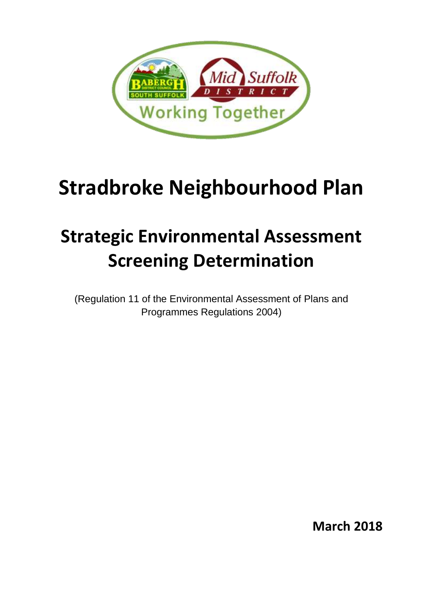

# **Stradbroke Neighbourhood Plan**

# **Strategic Environmental Assessment Screening Determination**

(Regulation 11 of the Environmental Assessment of Plans and Programmes Regulations 2004)

**March 2018**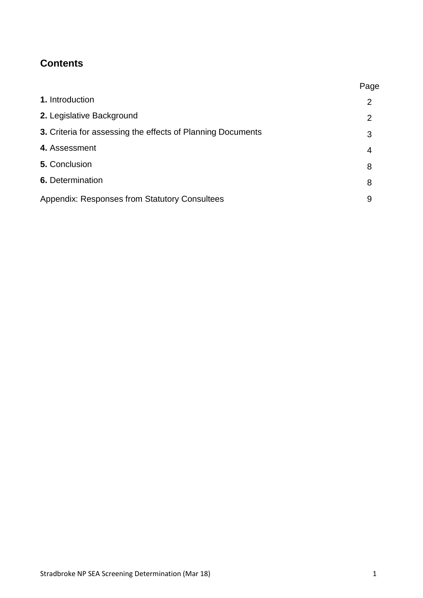# **Contents**

|                                                             | Page           |
|-------------------------------------------------------------|----------------|
| 1. Introduction                                             | 2              |
| 2. Legislative Background                                   | $\overline{2}$ |
| 3. Criteria for assessing the effects of Planning Documents | 3              |
| 4. Assessment                                               | 4              |
| 5. Conclusion                                               | 8              |
| <b>6.</b> Determination                                     | 8              |
| <b>Appendix: Responses from Statutory Consultees</b>        | 9              |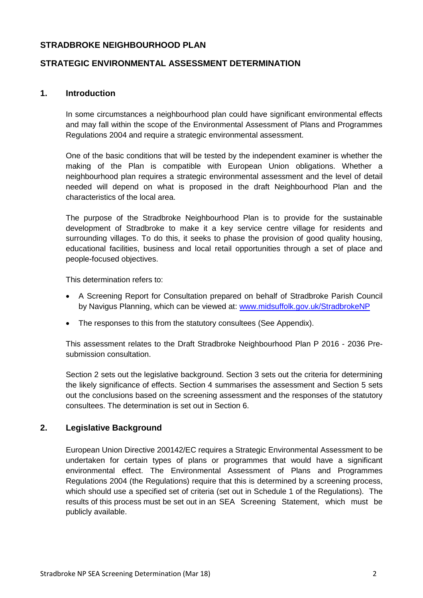# **STRADBROKE NEIGHBOURHOOD PLAN**

# **STRATEGIC ENVIRONMENTAL ASSESSMENT DETERMINATION**

### **1. Introduction**

In some circumstances a neighbourhood plan could have significant environmental effects and may fall within the scope of the Environmental Assessment of Plans and Programmes Regulations 2004 and require a strategic environmental assessment.

One of the basic conditions that will be tested by the independent examiner is whether the making of the Plan is compatible with European Union obligations. Whether a neighbourhood plan requires a strategic environmental assessment and the level of detail needed will depend on what is proposed in the draft Neighbourhood Plan and the characteristics of the local area.

The purpose of the Stradbroke Neighbourhood Plan is to provide for the sustainable development of Stradbroke to make it a key service centre village for residents and surrounding villages. To do this, it seeks to phase the provision of good quality housing, educational facilities, business and local retail opportunities through a set of place and people-focused objectives.

This determination refers to:

- A Screening Report for Consultation prepared on behalf of Stradbroke Parish Council by Navigus Planning, which can be viewed at: [www.midsuffolk.gov.uk/StradbrokeNP](http://www.midsuffolk.gov.uk/StradbrokeNP)
- The responses to this from the statutory consultees (See Appendix).

This assessment relates to the Draft Stradbroke Neighbourhood Plan P 2016 - 2036 Presubmission consultation.

Section 2 sets out the legislative background. Section 3 sets out the criteria for determining the likely significance of effects. Section 4 summarises the assessment and Section 5 sets out the conclusions based on the screening assessment and the responses of the statutory consultees. The determination is set out in Section 6.

# **2. Legislative Background**

European Union Directive 200142/EC requires a Strategic Environmental Assessment to be undertaken for certain types of plans or programmes that would have a significant environmental effect. The Environmental Assessment of Plans and Programmes Regulations 2004 (the Regulations) require that this is determined by a screening process, which should use a specified set of criteria (set out in Schedule 1 of the Regulations). The results of this process must be set out in an SEA Screening Statement, which must be publicly available.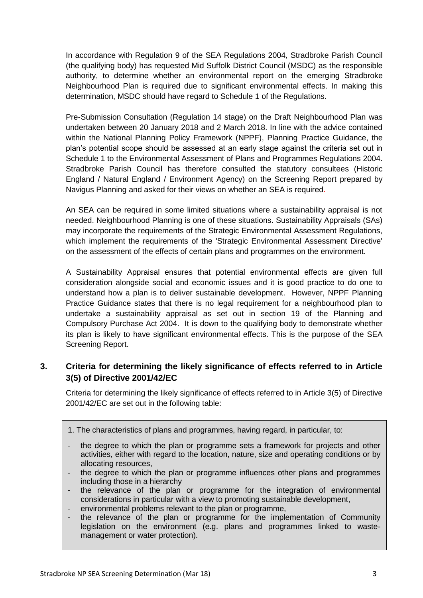In accordance with Regulation 9 of the SEA Regulations 2004, Stradbroke Parish Council (the qualifying body) has requested Mid Suffolk District Council (MSDC) as the responsible authority, to determine whether an environmental report on the emerging Stradbroke Neighbourhood Plan is required due to significant environmental effects. In making this determination, MSDC should have regard to Schedule 1 of the Regulations.

Pre-Submission Consultation (Regulation 14 stage) on the Draft Neighbourhood Plan was undertaken between 20 January 2018 and 2 March 2018. In line with the advice contained within the National Planning Policy Framework (NPPF), Planning Practice Guidance, the plan's potential scope should be assessed at an early stage against the criteria set out in Schedule 1 to the Environmental Assessment of Plans and Programmes Regulations 2004. Stradbroke Parish Council has therefore consulted the statutory consultees (Historic England / Natural England / Environment Agency) on the Screening Report prepared by Navigus Planning and asked for their views on whether an SEA is required.

An SEA can be required in some limited situations where a sustainability appraisal is not needed. Neighbourhood Planning is one of these situations. Sustainability Appraisals (SAs) may incorporate the requirements of the Strategic Environmental Assessment Regulations, which implement the requirements of the 'Strategic Environmental Assessment Directive' on the assessment of the effects of certain plans and programmes on the environment.

A Sustainability Appraisal ensures that potential environmental effects are given full consideration alongside social and economic issues and it is good practice to do one to understand how a plan is to deliver sustainable development. However, NPPF Planning Practice Guidance states that there is no legal requirement for a neighbourhood plan to undertake a sustainability appraisal as set out in section 19 of the Planning and Compulsory Purchase Act 2004. It is down to the qualifying body to demonstrate whether its plan is likely to have significant environmental effects. This is the purpose of the SEA Screening Report.

# **3. Criteria for determining the likely significance of effects referred to in Article 3(5) of Directive 2001/42/EC**

Criteria for determining the likely significance of effects referred to in Article 3(5) of Directive 2001/42/EC are set out in the following table:

- 1. The characteristics of plans and programmes, having regard, in particular, to:
- the degree to which the plan or programme sets a framework for projects and other activities, either with regard to the location, nature, size and operating conditions or by allocating resources,
- the degree to which the plan or programme influences other plans and programmes including those in a hierarchy
- the relevance of the plan or programme for the integration of environmental considerations in particular with a view to promoting sustainable development,
- environmental problems relevant to the plan or programme,
- the relevance of the plan or programme for the implementation of Community legislation on the environment (e.g. plans and programmes linked to wastemanagement or water protection).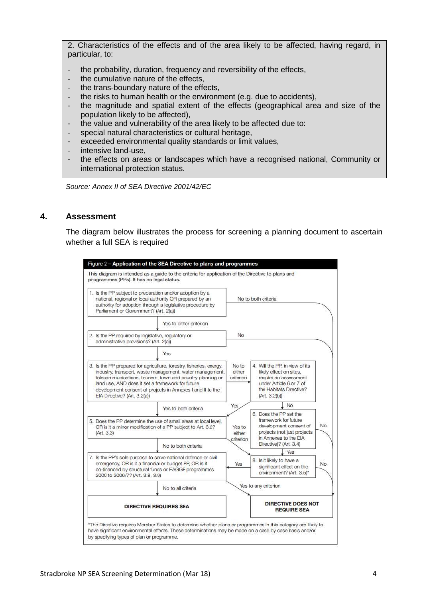2. Characteristics of the effects and of the area likely to be affected, having regard, in particular, to:

- the probability, duration, frequency and reversibility of the effects,
- the cumulative nature of the effects,
- the trans-boundary nature of the effects,
- the risks to human health or the environment (e.g. due to accidents),
- the magnitude and spatial extent of the effects (geographical area and size of the population likely to be affected),
- the value and vulnerability of the area likely to be affected due to:
- special natural characteristics or cultural heritage,
- exceeded environmental quality standards or limit values,
- intensive land-use,
- the effects on areas or landscapes which have a recognised national, Community or international protection status.

*Source: Annex II of SEA Directive 2001/42/EC*

# **4. Assessment**

The diagram below illustrates the process for screening a planning document to ascertain whether a full SEA is required

| 1. Is the PP subject to preparation and/or adoption by a<br>national, regional or local authority OR prepared by an<br>authority for adoption through a legislative procedure by<br>Parliament or Government? (Art. 2(a))                                                                                                                      |                         |                               | No to both criteria                                                                                                                                              |
|------------------------------------------------------------------------------------------------------------------------------------------------------------------------------------------------------------------------------------------------------------------------------------------------------------------------------------------------|-------------------------|-------------------------------|------------------------------------------------------------------------------------------------------------------------------------------------------------------|
|                                                                                                                                                                                                                                                                                                                                                | Yes to either criterion |                               |                                                                                                                                                                  |
| 2. Is the PP required by legislative, regulatory or<br>administrative provisions? (Art. 2(a))                                                                                                                                                                                                                                                  |                         | No.                           |                                                                                                                                                                  |
|                                                                                                                                                                                                                                                                                                                                                | Yes                     |                               |                                                                                                                                                                  |
| 3. Is the PP prepared for agriculture, forestry, fisheries, energy,<br>industry, transport, waste management, water management,<br>telecommunications, tourism, town and country planning or<br>land use, AND does it set a framework for future<br>development consent of projects in Annexes I and II to the<br>EIA Directive? (Art. 3.2(a)) |                         | No to<br>either<br>criterion  | 4. Will the PP, in view of its<br>likely effect on sites,<br>require an assessment<br>under Article 6 or 7 of<br>the Habitats Directive?<br>(Art. 3.2(b))        |
|                                                                                                                                                                                                                                                                                                                                                | Yes to both criteria    | Yes                           | No                                                                                                                                                               |
| 5. Does the PP determine the use of small areas at local level.<br>OR is it a minor modification of a PP subject to Art. 3.2?<br>(Art. 3.3)                                                                                                                                                                                                    |                         | Yes to<br>either<br>criterion | 6. Does the PP set the<br>framework for future<br>No<br>development consent of<br>projects (not just projects<br>in Annexes to the EIA<br>Directive)? (Art. 3.4) |
|                                                                                                                                                                                                                                                                                                                                                | No to both criteria     |                               | Yes                                                                                                                                                              |
| 7. Is the PP's sole purpose to serve national defence or civil<br>emergency, OR is it a financial or budget PP, OR is it<br>co-financed by structural funds or EAGGF programmes<br>2000 to 2006/7? (Art. 3.8, 3.9)                                                                                                                             |                         | Yes                           | 8. Is it likely to have a<br>No.<br>significant effect on the<br>environment? (Art. 3.5)*                                                                        |
|                                                                                                                                                                                                                                                                                                                                                | No to all criteria      |                               | Yes to any criterion                                                                                                                                             |
| <b>DIRECTIVE REQUIRES SEA</b>                                                                                                                                                                                                                                                                                                                  |                         |                               | <b>DIRECTIVE DOES NOT</b><br><b>REQUIRE SEA</b>                                                                                                                  |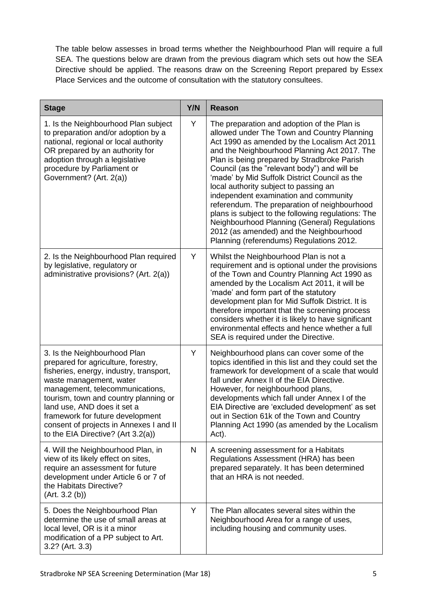The table below assesses in broad terms whether the Neighbourhood Plan will require a full SEA. The questions below are drawn from the previous diagram which sets out how the SEA Directive should be applied. The reasons draw on the Screening Report prepared by Essex Place Services and the outcome of consultation with the statutory consultees.

| <b>Stage</b>                                                                                                                                                                                                                                                                                                                                                              | Y/N | <b>Reason</b>                                                                                                                                                                                                                                                                                                                                                                                                                                                                                                                                                                                                                                                             |
|---------------------------------------------------------------------------------------------------------------------------------------------------------------------------------------------------------------------------------------------------------------------------------------------------------------------------------------------------------------------------|-----|---------------------------------------------------------------------------------------------------------------------------------------------------------------------------------------------------------------------------------------------------------------------------------------------------------------------------------------------------------------------------------------------------------------------------------------------------------------------------------------------------------------------------------------------------------------------------------------------------------------------------------------------------------------------------|
| 1. Is the Neighbourhood Plan subject<br>to preparation and/or adoption by a<br>national, regional or local authority<br>OR prepared by an authority for<br>adoption through a legislative<br>procedure by Parliament or<br>Government? (Art. 2(a))                                                                                                                        | Y   | The preparation and adoption of the Plan is<br>allowed under The Town and Country Planning<br>Act 1990 as amended by the Localism Act 2011<br>and the Neighbourhood Planning Act 2017. The<br>Plan is being prepared by Stradbroke Parish<br>Council (as the "relevant body") and will be<br>'made' by Mid Suffolk District Council as the<br>local authority subject to passing an<br>independent examination and community<br>referendum. The preparation of neighbourhood<br>plans is subject to the following regulations: The<br>Neighbourhood Planning (General) Regulations<br>2012 (as amended) and the Neighbourhood<br>Planning (referendums) Regulations 2012. |
| 2. Is the Neighbourhood Plan required<br>by legislative, regulatory or<br>administrative provisions? (Art. 2(a))                                                                                                                                                                                                                                                          | Y   | Whilst the Neighbourhood Plan is not a<br>requirement and is optional under the provisions<br>of the Town and Country Planning Act 1990 as<br>amended by the Localism Act 2011, it will be<br>'made' and form part of the statutory<br>development plan for Mid Suffolk District. It is<br>therefore important that the screening process<br>considers whether it is likely to have significant<br>environmental effects and hence whether a full<br>SEA is required under the Directive.                                                                                                                                                                                 |
| 3. Is the Neighbourhood Plan<br>prepared for agriculture, forestry,<br>fisheries, energy, industry, transport,<br>waste management, water<br>management, telecommunications,<br>tourism, town and country planning or<br>land use, AND does it set a<br>framework for future development<br>consent of projects in Annexes I and II<br>to the EIA Directive? (Art 3.2(a)) | Υ   | Neighbourhood plans can cover some of the<br>topics identified in this list and they could set the<br>framework for development of a scale that would<br>fall under Annex II of the EIA Directive.<br>However, for neighbourhood plans,<br>developments which fall under Annex I of the<br>EIA Directive are 'excluded development' as set<br>out in Section 61k of the Town and Country<br>Planning Act 1990 (as amended by the Localism<br>Act).                                                                                                                                                                                                                        |
| 4. Will the Neighbourhood Plan, in<br>view of its likely effect on sites,<br>require an assessment for future<br>development under Article 6 or 7 of<br>the Habitats Directive?<br>(Art. 3.2(b))                                                                                                                                                                          | N   | A screening assessment for a Habitats<br>Regulations Assessment (HRA) has been<br>prepared separately. It has been determined<br>that an HRA is not needed.                                                                                                                                                                                                                                                                                                                                                                                                                                                                                                               |
| 5. Does the Neighbourhood Plan<br>determine the use of small areas at<br>local level, OR is it a minor<br>modification of a PP subject to Art.<br>3.2? (Art. 3.3)                                                                                                                                                                                                         | Y   | The Plan allocates several sites within the<br>Neighbourhood Area for a range of uses,<br>including housing and community uses.                                                                                                                                                                                                                                                                                                                                                                                                                                                                                                                                           |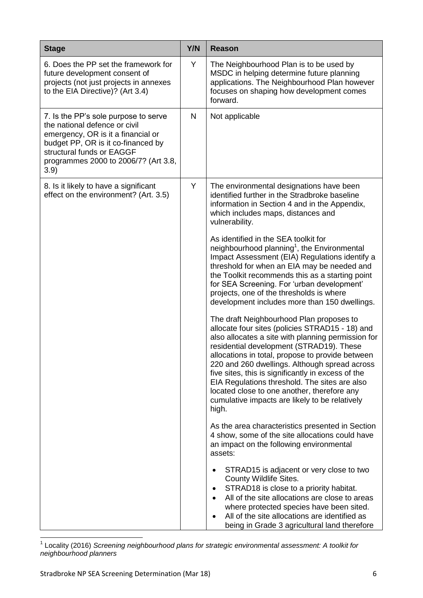| <b>Stage</b>                                                                                                                                                                                                                   | Y/N | <b>Reason</b>                                                                                                                                                                                                                                                                                                                                                                                                                                                                                                                                                                                                                                                                                                                                                                                                                                                                                                                                                                                                                                                                                                      |
|--------------------------------------------------------------------------------------------------------------------------------------------------------------------------------------------------------------------------------|-----|--------------------------------------------------------------------------------------------------------------------------------------------------------------------------------------------------------------------------------------------------------------------------------------------------------------------------------------------------------------------------------------------------------------------------------------------------------------------------------------------------------------------------------------------------------------------------------------------------------------------------------------------------------------------------------------------------------------------------------------------------------------------------------------------------------------------------------------------------------------------------------------------------------------------------------------------------------------------------------------------------------------------------------------------------------------------------------------------------------------------|
| 6. Does the PP set the framework for<br>future development consent of<br>projects (not just projects in annexes<br>to the EIA Directive)? (Art 3.4)                                                                            | Y   | The Neighbourhood Plan is to be used by<br>MSDC in helping determine future planning<br>applications. The Neighbourhood Plan however<br>focuses on shaping how development comes<br>forward.                                                                                                                                                                                                                                                                                                                                                                                                                                                                                                                                                                                                                                                                                                                                                                                                                                                                                                                       |
| 7. Is the PP's sole purpose to serve<br>the national defence or civil<br>emergency, OR is it a financial or<br>budget PP, OR is it co-financed by<br>structural funds or EAGGF<br>programmes 2000 to 2006/7? (Art 3.8,<br>3.9) | N   | Not applicable                                                                                                                                                                                                                                                                                                                                                                                                                                                                                                                                                                                                                                                                                                                                                                                                                                                                                                                                                                                                                                                                                                     |
| 8. Is it likely to have a significant<br>effect on the environment? (Art. 3.5)                                                                                                                                                 | Y   | The environmental designations have been<br>identified further in the Stradbroke baseline<br>information in Section 4 and in the Appendix,<br>which includes maps, distances and<br>vulnerability.<br>As identified in the SEA toolkit for<br>neighbourhood planning <sup>1</sup> , the Environmental<br>Impact Assessment (EIA) Regulations identify a<br>threshold for when an EIA may be needed and<br>the Toolkit recommends this as a starting point<br>for SEA Screening. For 'urban development'<br>projects, one of the thresholds is where<br>development includes more than 150 dwellings.<br>The draft Neighbourhood Plan proposes to<br>allocate four sites (policies STRAD15 - 18) and<br>also allocates a site with planning permission for<br>residential development (STRAD19). These<br>allocations in total, propose to provide between<br>220 and 260 dwellings. Although spread across<br>five sites, this is significantly in excess of the<br>EIA Regulations threshold. The sites are also<br>located close to one another, therefore any<br>cumulative impacts are likely to be relatively |
|                                                                                                                                                                                                                                |     | high.<br>As the area characteristics presented in Section<br>4 show, some of the site allocations could have<br>an impact on the following environmental<br>assets:<br>STRAD15 is adjacent or very close to two<br>County Wildlife Sites.<br>STRAD18 is close to a priority habitat.<br>٠<br>All of the site allocations are close to areas<br>where protected species have been sited.<br>All of the site allocations are identified as<br>being in Grade 3 agricultural land therefore                                                                                                                                                                                                                                                                                                                                                                                                                                                                                                                                                                                                                           |

 1 Locality (2016) *Screening neighbourhood plans for strategic environmental assessment: A toolkit for neighbourhood planners*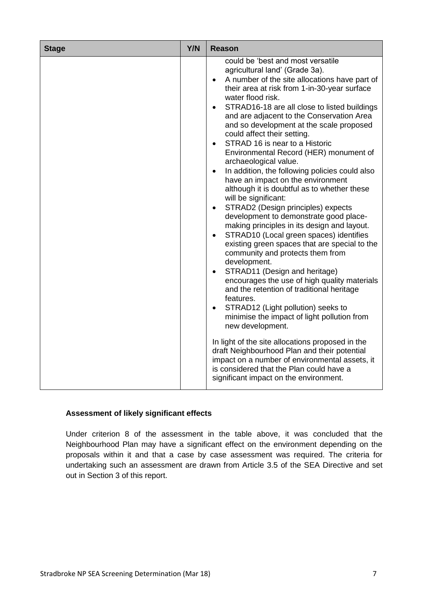| <b>Stage</b> | Y/N | Reason                                                                                                                                                                                                                                                                                                                                                                                                                                                                                                                                                                                                                                                                                                                                                                                                                                                                                                                                                                                                                                                                                                                                                                                                                                                                                                                                                                                                                                                                               |
|--------------|-----|--------------------------------------------------------------------------------------------------------------------------------------------------------------------------------------------------------------------------------------------------------------------------------------------------------------------------------------------------------------------------------------------------------------------------------------------------------------------------------------------------------------------------------------------------------------------------------------------------------------------------------------------------------------------------------------------------------------------------------------------------------------------------------------------------------------------------------------------------------------------------------------------------------------------------------------------------------------------------------------------------------------------------------------------------------------------------------------------------------------------------------------------------------------------------------------------------------------------------------------------------------------------------------------------------------------------------------------------------------------------------------------------------------------------------------------------------------------------------------------|
|              |     | could be 'best and most versatile<br>agricultural land' (Grade 3a).<br>A number of the site allocations have part of<br>$\bullet$<br>their area at risk from 1-in-30-year surface<br>water flood risk.<br>STRAD16-18 are all close to listed buildings<br>$\bullet$<br>and are adjacent to the Conservation Area<br>and so development at the scale proposed<br>could affect their setting.<br>STRAD 16 is near to a Historic<br>$\bullet$<br>Environmental Record (HER) monument of<br>archaeological value.<br>In addition, the following policies could also<br>have an impact on the environment<br>although it is doubtful as to whether these<br>will be significant:<br>STRAD2 (Design principles) expects<br>$\bullet$<br>development to demonstrate good place-<br>making principles in its design and layout.<br>STRAD10 (Local green spaces) identifies<br>$\bullet$<br>existing green spaces that are special to the<br>community and protects them from<br>development.<br>STRAD11 (Design and heritage)<br>encourages the use of high quality materials<br>and the retention of traditional heritage<br>features.<br>STRAD12 (Light pollution) seeks to<br>minimise the impact of light pollution from<br>new development.<br>In light of the site allocations proposed in the<br>draft Neighbourhood Plan and their potential<br>impact on a number of environmental assets, it<br>is considered that the Plan could have a<br>significant impact on the environment. |

# **Assessment of likely significant effects**

Under criterion 8 of the assessment in the table above, it was concluded that the Neighbourhood Plan may have a significant effect on the environment depending on the proposals within it and that a case by case assessment was required. The criteria for undertaking such an assessment are drawn from Article 3.5 of the SEA Directive and set out in Section 3 of this report.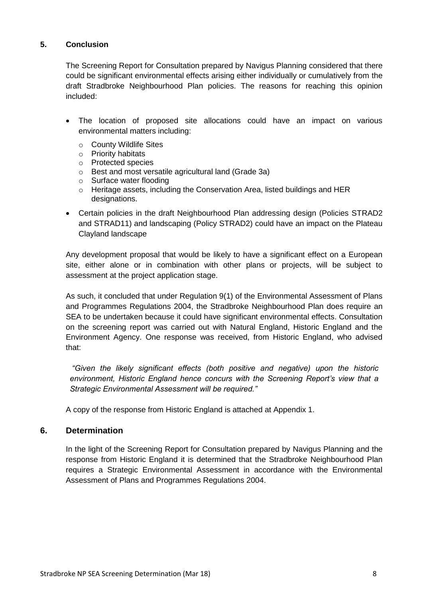# **5. Conclusion**

The Screening Report for Consultation prepared by Navigus Planning considered that there could be significant environmental effects arising either individually or cumulatively from the draft Stradbroke Neighbourhood Plan policies. The reasons for reaching this opinion included:

- The location of proposed site allocations could have an impact on various environmental matters including:
	- o County Wildlife Sites
	- o Priority habitats
	- o Protected species
	- o Best and most versatile agricultural land (Grade 3a)
	- o Surface water flooding
	- o Heritage assets, including the Conservation Area, listed buildings and HER designations.
- Certain policies in the draft Neighbourhood Plan addressing design (Policies STRAD2 and STRAD11) and landscaping (Policy STRAD2) could have an impact on the Plateau Clayland landscape

Any development proposal that would be likely to have a significant effect on a European site, either alone or in combination with other plans or projects, will be subject to assessment at the project application stage.

As such, it concluded that under Regulation 9(1) of the Environmental Assessment of Plans and Programmes Regulations 2004, the Stradbroke Neighbourhood Plan does require an SEA to be undertaken because it could have significant environmental effects. Consultation on the screening report was carried out with Natural England, Historic England and the Environment Agency. One response was received, from Historic England, who advised that:

*"Given the likely significant effects (both positive and negative) upon the historic environment, Historic England hence concurs with the Screening Report's view that a Strategic Environmental Assessment will be required."* 

A copy of the response from Historic England is attached at Appendix 1.

# **6. Determination**

In the light of the Screening Report for Consultation prepared by Navigus Planning and the response from Historic England it is determined that the Stradbroke Neighbourhood Plan requires a Strategic Environmental Assessment in accordance with the Environmental Assessment of Plans and Programmes Regulations 2004.